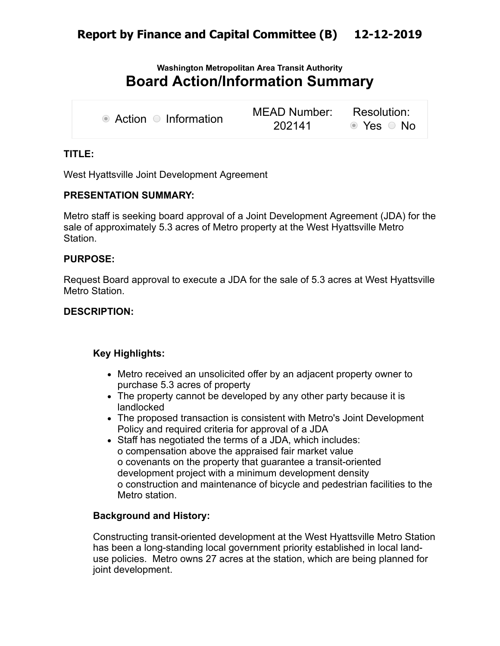## **Report by Finance and Capital Committee (B) 12-12-2019**

### **Washington Metropolitan Area Transit Authority Board Action/Information Summary**

| • Action • Information | MEAD Number: | Resolution:              |
|------------------------|--------------|--------------------------|
|                        | 202141       | $\bullet$ Yes $\circ$ No |

#### **TITLE:**

West Hyattsville Joint Development Agreement

#### **PRESENTATION SUMMARY:**

Metro staff is seeking board approval of a Joint Development Agreement (JDA) for the sale of approximately 5.3 acres of Metro property at the West Hyattsville Metro Station.

#### **PURPOSE:**

Request Board approval to execute a JDA for the sale of 5.3 acres at West Hyattsville Metro Station.

#### **DESCRIPTION:**

#### **Key Highlights:**

- Metro received an unsolicited offer by an adjacent property owner to purchase 5.3 acres of property
- The property cannot be developed by any other party because it is landlocked
- The proposed transaction is consistent with Metro's Joint Development Policy and required criteria for approval of a JDA
- Staff has negotiated the terms of a JDA, which includes: o compensation above the appraised fair market value o covenants on the property that guarantee a transit-oriented development project with a minimum development density o construction and maintenance of bicycle and pedestrian facilities to the Metro station.

#### **Background and History:**

Constructing transit-oriented development at the West Hyattsville Metro Station has been a long-standing local government priority established in local landuse policies. Metro owns 27 acres at the station, which are being planned for joint development.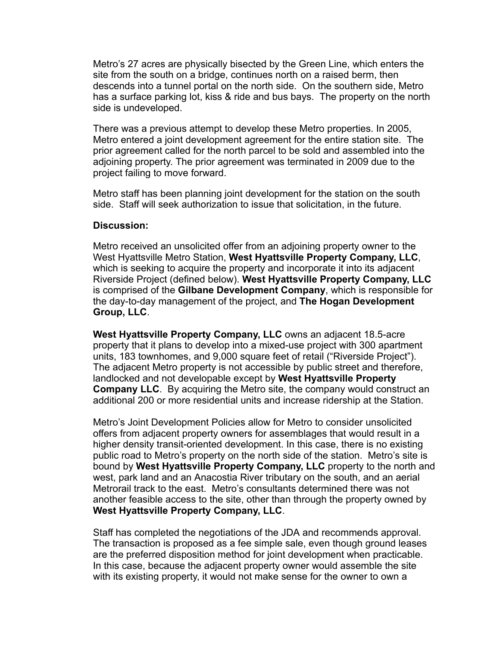Metro's 27 acres are physically bisected by the Green Line, which enters the site from the south on a bridge, continues north on a raised berm, then descends into a tunnel portal on the north side. On the southern side, Metro has a surface parking lot, kiss & ride and bus bays. The property on the north side is undeveloped.

There was a previous attempt to develop these Metro properties. In 2005, Metro entered a joint development agreement for the entire station site. The prior agreement called for the north parcel to be sold and assembled into the adjoining property. The prior agreement was terminated in 2009 due to the project failing to move forward.

Metro staff has been planning joint development for the station on the south side. Staff will seek authorization to issue that solicitation, in the future.

#### **Discussion:**

Metro received an unsolicited offer from an adjoining property owner to the West Hyattsville Metro Station, **West Hyattsville Property Company, LLC**, which is seeking to acquire the property and incorporate it into its adjacent Riverside Project (defined below). **West Hyattsville Property Company, LLC** is comprised of the **Gilbane Development Company**, which is responsible for the day-to-day management of the project, and **The Hogan Development Group, LLC**.

**West Hyattsville Property Company, LLC** owns an adjacent 18.5-acre property that it plans to develop into a mixed-use project with 300 apartment units, 183 townhomes, and 9,000 square feet of retail ("Riverside Project"). The adjacent Metro property is not accessible by public street and therefore, landlocked and not developable except by **West Hyattsville Property Company LLC**. By acquiring the Metro site, the company would construct an additional 200 or more residential units and increase ridership at the Station.

Metro's Joint Development Policies allow for Metro to consider unsolicited offers from adjacent property owners for assemblages that would result in a higher density transit-oriented development. In this case, there is no existing public road to Metro's property on the north side of the station. Metro's site is bound by **West Hyattsville Property Company, LLC** property to the north and west, park land and an Anacostia River tributary on the south, and an aerial Metrorail track to the east. Metro's consultants determined there was not another feasible access to the site, other than through the property owned by **West Hyattsville Property Company, LLC**.

Staff has completed the negotiations of the JDA and recommends approval. The transaction is proposed as a fee simple sale, even though ground leases are the preferred disposition method for joint development when practicable. In this case, because the adjacent property owner would assemble the site with its existing property, it would not make sense for the owner to own a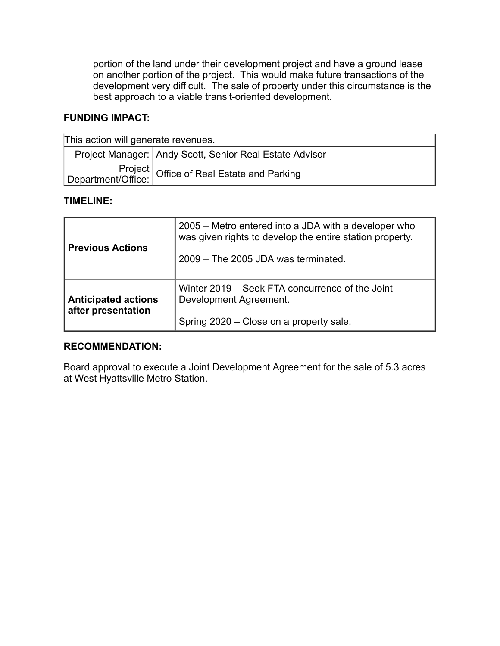portion of the land under their development project and have a ground lease on another portion of the project. This would make future transactions of the development very difficult. The sale of property under this circumstance is the best approach to a viable transit-oriented development.

#### **FUNDING IMPACT:**

| This action will generate revenues. |                                                                                                   |  |
|-------------------------------------|---------------------------------------------------------------------------------------------------|--|
|                                     | Project Manager:   Andy Scott, Senior Real Estate Advisor                                         |  |
|                                     | Project Office of Real Estate and Parking<br>Department/Office: Office of Real Estate and Parking |  |

#### **TIMELINE:**

| <b>Previous Actions</b>                          | 2005 – Metro entered into a JDA with a developer who<br>was given rights to develop the entire station property.<br>2009 - The 2005 JDA was terminated. |
|--------------------------------------------------|---------------------------------------------------------------------------------------------------------------------------------------------------------|
| <b>Anticipated actions</b><br>after presentation | Winter 2019 – Seek FTA concurrence of the Joint<br>Development Agreement.<br>Spring 2020 - Close on a property sale.                                    |

#### **RECOMMENDATION:**

Board approval to execute a Joint Development Agreement for the sale of 5.3 acres at West Hyattsville Metro Station.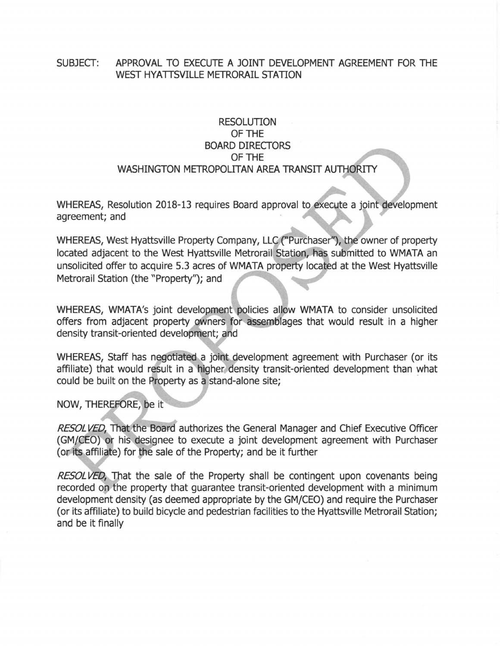#### SUBJECT: APPROVAL TO EXECUTE A JOINT DEVELOPMENT AGREEMENT FOR THE WEST HYATTSVILLE METRORAIL STATION

# RESOLUTION OF THE BOARD DIRECTORS OF THE RESOLUTION<br>OF THE<br>BOARD DIRECTORS<br>OF THE<br>WASHINGTON METROPOLITAN AREA TRANSIT AUTHORITY

OF THE<br>WASHINGTON METROPOLITAN AREA TRANSIT AUTHORITY<br>WHEREAS, Resolution 2018-13 requires Board approval to execute a joint development<br>agreement; and<br>WASHING WASHINGTON CONSULS AND THE TRANSITY agreement; and<br>WHEREAS, West Hyattsville Property Company, LLC ("Purchaser"), the owner of property

located adjacent to the West Hyattsville Metrorail Station, has submitted to WMATA an unsolicited offer to acquire 5.3 acres of WMATA property located at the West Hyattsville WHEREAS, West Hyattsville Property Company, LLC ("Purchaser"), the located adjacent to the West Hyattsville Metrorail Station, has submitted unsolicited offer to acquire 5.3 acres of WMATA property located at the Metrorail

WHEREAS, WMATA's joint development policies allow WMATA to consider unsolicited offers from adjacent property owners for assemblages that would result in a higher density transit-oriented development; and

WHEREAS, Staff has negotiated a joint development agreement with Purchaser (or its affiliate) that would result in a higher density transit-oriented development than what could be built on the Property as a stand-alone site;

**NOW, THEREFORE, be it** 

*RESOLVED*, That the Board authorizes the General Manager and Chief Executive Officer (GM/CEO) or his designee to execute a joint development agreement with Purchaser (or its affiliate) for the sale of the Property; and be it further NOW, THEREFORE, be it<br>RESOLVED, That the Board authorizes the General Manager and CGM/CEO) or his designee to execute a joint development<br>(or its affiliate) for the sale of the Property; and be it further

*RESOLVED*, That the sale of the Property shall be contingent upon covenants being recorded on the property that guarantee transit-oriented development with a minimum development density (as deemed appropriate by the GM/CEO) and require the Purchaser (or its affiliate) to build bicycle and pedestrian facilities to the Hyattsville Metrorail Station; and be it finally